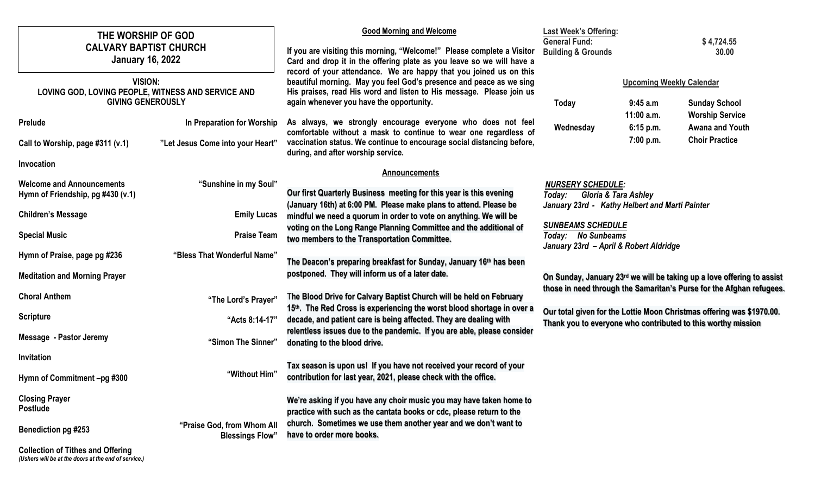| THE WORSHIP OF GOD<br><b>CALVARY BAPTIST CHURCH</b><br><b>January 16, 2022</b>                                                                                                                                    | <b>Good Morning and Welcome</b><br>If you are visiting this morning, "Welcome!" Please complete a Visitor<br>Card and drop it in the offering plate as you leave so we will have a                                                                                                                                                                                                                                                                                                                               | <b>Last Week's Offering:</b><br><b>General Fund:</b><br><b>Building &amp; Grounds</b>                                                                                                                                                                                                   |                                                                                      | \$4,724.55<br>30.00                                                                        |
|-------------------------------------------------------------------------------------------------------------------------------------------------------------------------------------------------------------------|------------------------------------------------------------------------------------------------------------------------------------------------------------------------------------------------------------------------------------------------------------------------------------------------------------------------------------------------------------------------------------------------------------------------------------------------------------------------------------------------------------------|-----------------------------------------------------------------------------------------------------------------------------------------------------------------------------------------------------------------------------------------------------------------------------------------|--------------------------------------------------------------------------------------|--------------------------------------------------------------------------------------------|
| <b>VISION:</b><br>LOVING GOD, LOVING PEOPLE, WITNESS AND SERVICE AND<br><b>GIVING GENEROUSLY</b><br>In Preparation for Worship<br>Prelude<br>Call to Worship, page #311 (v.1)<br>"Let Jesus Come into your Heart" | record of your attendance. We are happy that you joined us on this<br>beautiful morning. May you feel God's presence and peace as we sing<br>His praises, read His word and listen to His message. Please join us<br>again whenever you have the opportunity.<br>As always, we strongly encourage everyone who does not feel<br>comfortable without a mask to continue to wear one regardless of<br>vaccination status. We continue to encourage social distancing before,<br>during, and after worship service. | <b>Today</b><br>Wednesday                                                                                                                                                                                                                                                               | <b>Upcoming Weekly Calendar</b><br>9:45a.m<br>$11:00$ a.m.<br>6:15 p.m.<br>7:00 p.m. | <b>Sunday School</b><br><b>Worship Service</b><br>Awana and Youth<br><b>Choir Practice</b> |
| Invocation<br>"Sunshine in my Soul"<br><b>Welcome and Announcements</b><br>Hymn of Friendship, pg #430 (v.1)                                                                                                      | <b>Announcements</b><br>Our first Quarterly Business meeting for this year is this evening                                                                                                                                                                                                                                                                                                                                                                                                                       | <b>NURSERY SCHEDULE:</b><br>Today: Gloria & Tara Ashley                                                                                                                                                                                                                                 |                                                                                      |                                                                                            |
| <b>Children's Message</b><br><b>Emily Lucas</b>                                                                                                                                                                   | (January 16th) at 6:00 PM. Please make plans to attend. Please be<br>mindful we need a quorum in order to vote on anything. We will be<br>voting on the Long Range Planning Committee and the additional of                                                                                                                                                                                                                                                                                                      | January 23rd - Kathy Helbert and Marti Painter<br><b>SUNBEAMS SCHEDULE</b><br>Today: No Sunbeams<br>January 23rd - April & Robert Aldridge                                                                                                                                              |                                                                                      |                                                                                            |
| <b>Special Music</b><br><b>Praise Team</b><br>"Bless That Wonderful Name"<br>Hymn of Praise, page pg #236                                                                                                         | two members to the Transportation Committee.<br>The Deacon's preparing breakfast for Sunday, January 16th has been                                                                                                                                                                                                                                                                                                                                                                                               |                                                                                                                                                                                                                                                                                         |                                                                                      |                                                                                            |
| <b>Meditation and Morning Prayer</b><br><b>Choral Anthem</b><br>"The Lord's Prayer"                                                                                                                               | postponed. They will inform us of a later date.<br>The Blood Drive for Calvary Baptist Church will be held on February<br>15th. The Red Cross is experiencing the worst blood shortage in over a<br>decade, and patient care is being affected. They are dealing with<br>relentless issues due to the pandemic. If you are able, please consider                                                                                                                                                                 | On Sunday, January 23rd we will be taking up a love offering to assist<br>those in need through the Samaritan's Purse for the Afghan refugees.<br>Our total given for the Lottie Moon Christmas offering was \$1970.00.<br>Thank you to everyone who contributed to this worthy mission |                                                                                      |                                                                                            |
| <b>Scripture</b><br>"Acts 8:14-17"                                                                                                                                                                                |                                                                                                                                                                                                                                                                                                                                                                                                                                                                                                                  |                                                                                                                                                                                                                                                                                         |                                                                                      |                                                                                            |
| <b>Message - Pastor Jeremy</b><br>"Simon The Sinner"<br>Invitation                                                                                                                                                | donating to the blood drive.<br>Tax season is upon us! If you have not received your record of your                                                                                                                                                                                                                                                                                                                                                                                                              |                                                                                                                                                                                                                                                                                         |                                                                                      |                                                                                            |
| "Without Him"<br>Hymn of Commitment -pg #300<br><b>Closing Prayer</b><br><b>Postlude</b>                                                                                                                          | contribution for last year, 2021, please check with the office.<br>We're asking if you have any choir music you may have taken home to                                                                                                                                                                                                                                                                                                                                                                           |                                                                                                                                                                                                                                                                                         |                                                                                      |                                                                                            |
| "Praise God, from Whom All<br><b>Benediction pg #253</b><br><b>Blessings Flow"</b>                                                                                                                                | practice with such as the cantata books or cdc, please return to the<br>church. Sometimes we use them another year and we don't want to<br>have to order more books.                                                                                                                                                                                                                                                                                                                                             |                                                                                                                                                                                                                                                                                         |                                                                                      |                                                                                            |

**Collection of Tithes and Offering** *(Ushers will be at the doors at the end of service.)*